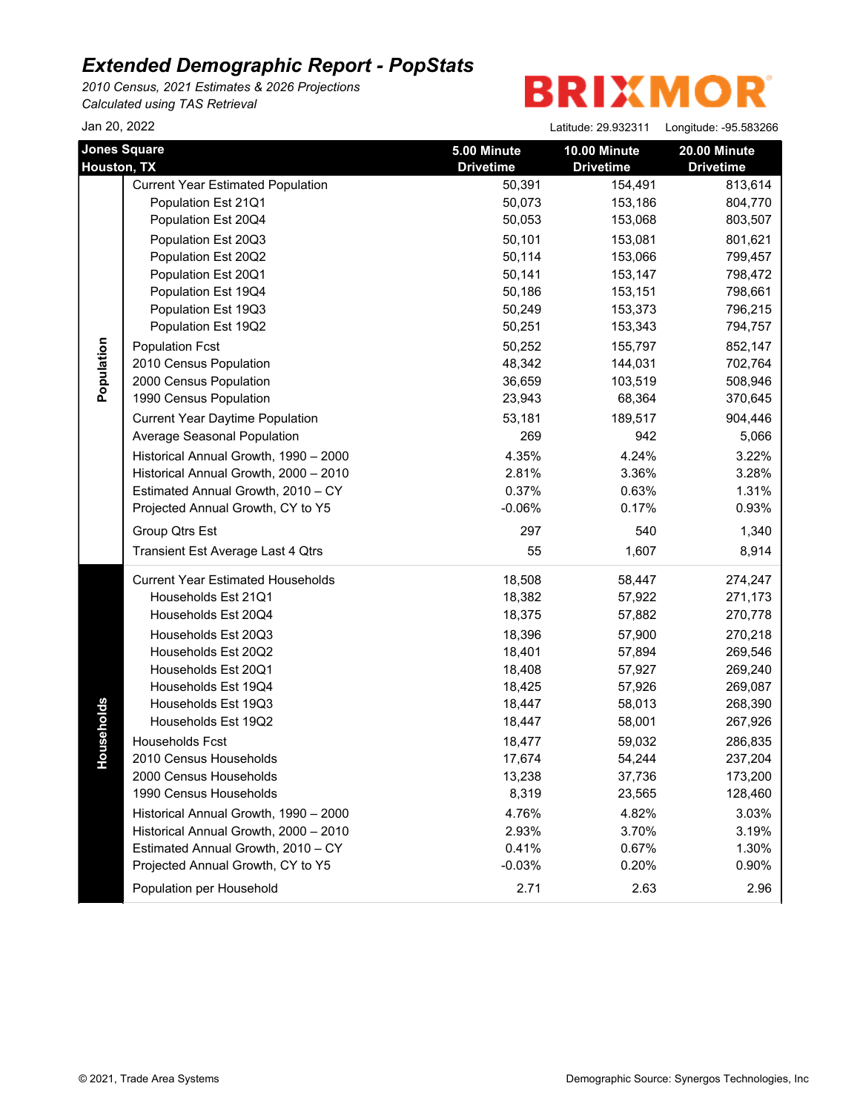*2010 Census, 2021 Estimates & 2026 Projections Calculated using TAS Retrieval*

| Jan 20, 2022                       |                                          |                                 | Latitude: 29.932311              | Longitude: -95.583266                   |
|------------------------------------|------------------------------------------|---------------------------------|----------------------------------|-----------------------------------------|
| <b>Jones Square</b><br>Houston, TX |                                          | 5.00 Minute<br><b>Drivetime</b> | 10.00 Minute<br><b>Drivetime</b> | <b>20.00 Minute</b><br><b>Drivetime</b> |
|                                    | <b>Current Year Estimated Population</b> | 50,391                          | 154,491                          | 813,614                                 |
|                                    | Population Est 21Q1                      | 50,073                          | 153,186                          | 804,770                                 |
|                                    | Population Est 20Q4                      | 50,053                          | 153,068                          | 803,507                                 |
|                                    | Population Est 20Q3                      | 50,101                          | 153,081                          | 801,621                                 |
|                                    | Population Est 20Q2                      | 50,114                          | 153,066                          | 799,457                                 |
|                                    | Population Est 20Q1                      | 50,141                          | 153,147                          | 798,472                                 |
|                                    | Population Est 19Q4                      | 50,186                          | 153,151                          | 798,661                                 |
|                                    | Population Est 19Q3                      | 50,249                          | 153,373                          | 796,215                                 |
|                                    | Population Est 19Q2                      | 50,251                          | 153,343                          | 794,757                                 |
| Population                         | <b>Population Fcst</b>                   | 50,252                          | 155,797                          | 852,147                                 |
|                                    | 2010 Census Population                   | 48,342                          | 144,031                          | 702,764                                 |
|                                    | 2000 Census Population                   | 36,659                          | 103,519                          | 508,946                                 |
|                                    | 1990 Census Population                   | 23,943                          | 68,364                           | 370,645                                 |
|                                    | <b>Current Year Daytime Population</b>   | 53,181                          | 189,517                          | 904,446                                 |
|                                    | Average Seasonal Population              | 269                             | 942                              | 5,066                                   |
|                                    | Historical Annual Growth, 1990 - 2000    | 4.35%                           | 4.24%                            | 3.22%                                   |
|                                    | Historical Annual Growth, 2000 - 2010    | 2.81%                           | 3.36%                            | 3.28%                                   |
|                                    | Estimated Annual Growth, 2010 - CY       | 0.37%                           | 0.63%                            | 1.31%                                   |
|                                    | Projected Annual Growth, CY to Y5        | $-0.06%$                        | 0.17%                            | 0.93%                                   |
|                                    | Group Qtrs Est                           | 297                             | 540                              | 1,340                                   |
|                                    | Transient Est Average Last 4 Qtrs        | 55                              | 1,607                            | 8,914                                   |
|                                    | <b>Current Year Estimated Households</b> | 18,508                          | 58,447                           | 274,247                                 |
|                                    | Households Est 21Q1                      | 18,382                          | 57,922                           | 271,173                                 |
|                                    | Households Est 20Q4                      | 18,375                          | 57,882                           | 270,778                                 |
|                                    | Households Est 20Q3                      | 18,396                          | 57,900                           | 270,218                                 |
|                                    | Households Est 20Q2                      | 18,401                          | 57,894                           | 269,546                                 |
|                                    | Households Est 20Q1                      | 18,408                          | 57,927                           | 269,240                                 |
|                                    | Households Est 19Q4                      | 18,425                          | 57,926                           | 269,087                                 |
|                                    | Households Est 19Q3                      | 18,447                          | 58,013                           | 268,390                                 |
| useholds                           | Households Est 19Q2                      | 18,447                          | 58,001                           | 267,926                                 |
|                                    | <b>Households Fcst</b>                   | 18,477                          | 59,032                           | 286,835                                 |
| 오                                  | 2010 Census Households                   | 17,674                          | 54,244                           | 237,204                                 |
|                                    | 2000 Census Households                   | 13,238                          | 37,736                           | 173,200                                 |
|                                    | 1990 Census Households                   | 8,319                           | 23,565                           | 128,460                                 |
|                                    | Historical Annual Growth, 1990 - 2000    | 4.76%                           | 4.82%                            | 3.03%                                   |
|                                    | Historical Annual Growth, 2000 - 2010    | 2.93%                           | 3.70%                            | 3.19%                                   |
|                                    | Estimated Annual Growth, 2010 - CY       | 0.41%                           | 0.67%                            | 1.30%                                   |
|                                    | Projected Annual Growth, CY to Y5        | $-0.03%$                        | 0.20%                            | 0.90%                                   |
|                                    | Population per Household                 | 2.71                            | 2.63                             | 2.96                                    |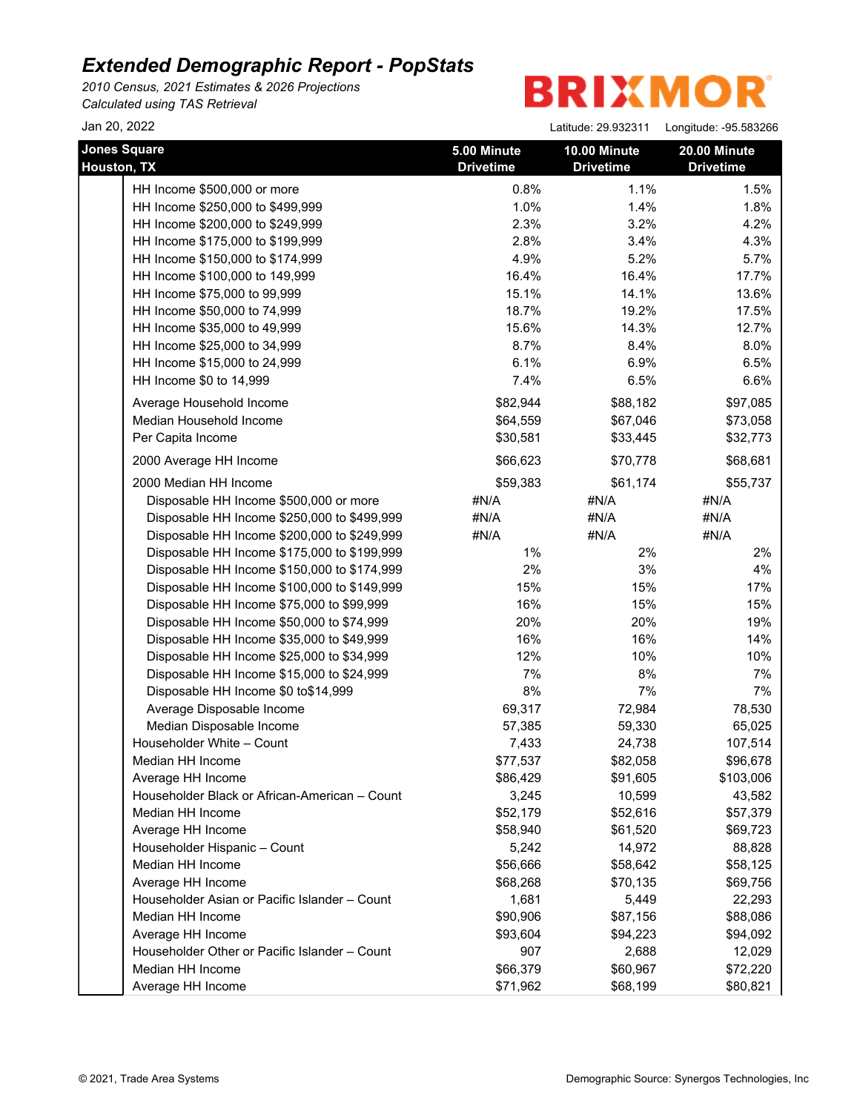*2010 Census, 2021 Estimates & 2026 Projections Calculated using TAS Retrieval*

| Jan 20, 2022                                  |                                 | Latitude: 29.932311              | Longitude: - 95.583266           |
|-----------------------------------------------|---------------------------------|----------------------------------|----------------------------------|
| <b>Jones Square</b><br>Houston, TX            | 5.00 Minute<br><b>Drivetime</b> | 10.00 Minute<br><b>Drivetime</b> | 20.00 Minute<br><b>Drivetime</b> |
| HH Income \$500,000 or more                   | 0.8%                            | 1.1%                             | 1.5%                             |
| HH Income \$250,000 to \$499,999              | 1.0%                            | 1.4%                             | 1.8%                             |
| HH Income \$200,000 to \$249,999              | 2.3%                            | 3.2%                             | 4.2%                             |
| HH Income \$175,000 to \$199,999              | 2.8%                            | 3.4%                             | 4.3%                             |
| HH Income \$150,000 to \$174,999              | 4.9%                            | 5.2%                             | 5.7%                             |
| HH Income \$100,000 to 149,999                | 16.4%                           | 16.4%                            | 17.7%                            |
| HH Income \$75,000 to 99,999                  | 15.1%                           | 14.1%                            | 13.6%                            |
| HH Income \$50,000 to 74,999                  | 18.7%                           | 19.2%                            | 17.5%                            |
| HH Income \$35,000 to 49,999                  | 15.6%                           | 14.3%                            | 12.7%                            |
| HH Income \$25,000 to 34,999                  | 8.7%                            | 8.4%                             | 8.0%                             |
| HH Income \$15,000 to 24,999                  | 6.1%                            | 6.9%                             | 6.5%                             |
| HH Income \$0 to 14,999                       | 7.4%                            | 6.5%                             | 6.6%                             |
| Average Household Income                      | \$82,944                        | \$88,182                         | \$97,085                         |
| Median Household Income                       | \$64,559                        | \$67,046                         | \$73,058                         |
| Per Capita Income                             | \$30,581                        | \$33,445                         | \$32,773                         |
| 2000 Average HH Income                        | \$66,623                        | \$70,778                         | \$68,681                         |
| 2000 Median HH Income                         | \$59,383                        | \$61,174                         | \$55,737                         |
| Disposable HH Income \$500,000 or more        | #N/A                            | #N/A                             | #N/A                             |
| Disposable HH Income \$250,000 to \$499,999   | #N/A                            | #N/A                             | #N/A                             |
| Disposable HH Income \$200,000 to \$249,999   | #N/A                            | #N/A                             | #N/A                             |
| Disposable HH Income \$175,000 to \$199,999   | 1%                              | 2%                               | 2%                               |
| Disposable HH Income \$150,000 to \$174,999   | 2%                              | 3%                               | 4%                               |
| Disposable HH Income \$100,000 to \$149,999   | 15%                             | 15%                              | 17%                              |
| Disposable HH Income \$75,000 to \$99,999     | 16%                             | 15%                              | 15%                              |
| Disposable HH Income \$50,000 to \$74,999     | 20%                             | 20%                              | 19%                              |
| Disposable HH Income \$35,000 to \$49,999     | 16%                             | 16%                              | 14%                              |
| Disposable HH Income \$25,000 to \$34,999     | 12%                             | 10%                              | 10%                              |
| Disposable HH Income \$15,000 to \$24,999     | 7%                              | 8%                               | 7%                               |
| Disposable HH Income \$0 to\$14,999           | $8%$                            | 7%                               | 7%                               |
| Average Disposable Income                     | 69,317                          | 72,984                           | 78,530                           |
| Median Disposable Income                      | 57,385                          | 59,330                           | 65,025                           |
| Householder White - Count                     | 7,433                           | 24,738                           | 107,514                          |
| Median HH Income                              | \$77,537                        | \$82,058                         | \$96,678                         |
| Average HH Income                             | \$86,429                        | \$91,605                         | \$103,006                        |
| Householder Black or African-American - Count | 3,245                           | 10,599                           | 43,582                           |
| Median HH Income                              | \$52,179                        | \$52,616                         | \$57,379                         |
| Average HH Income                             | \$58,940                        | \$61,520                         | \$69,723                         |
| Householder Hispanic - Count                  | 5,242                           | 14,972                           | 88,828                           |
| Median HH Income                              | \$56,666                        | \$58,642                         | \$58,125                         |
| Average HH Income                             | \$68,268                        | \$70,135                         | \$69,756                         |
| Householder Asian or Pacific Islander - Count | 1,681                           | 5,449                            | 22,293                           |
| Median HH Income                              | \$90,906                        | \$87,156                         | \$88,086                         |
| Average HH Income                             | \$93,604                        | \$94,223                         | \$94,092                         |
| Householder Other or Pacific Islander - Count | 907                             | 2,688                            | 12,029                           |
| Median HH Income                              | \$66,379                        | \$60,967                         | \$72,220                         |
| Average HH Income                             | \$71,962                        | \$68,199                         | \$80,821                         |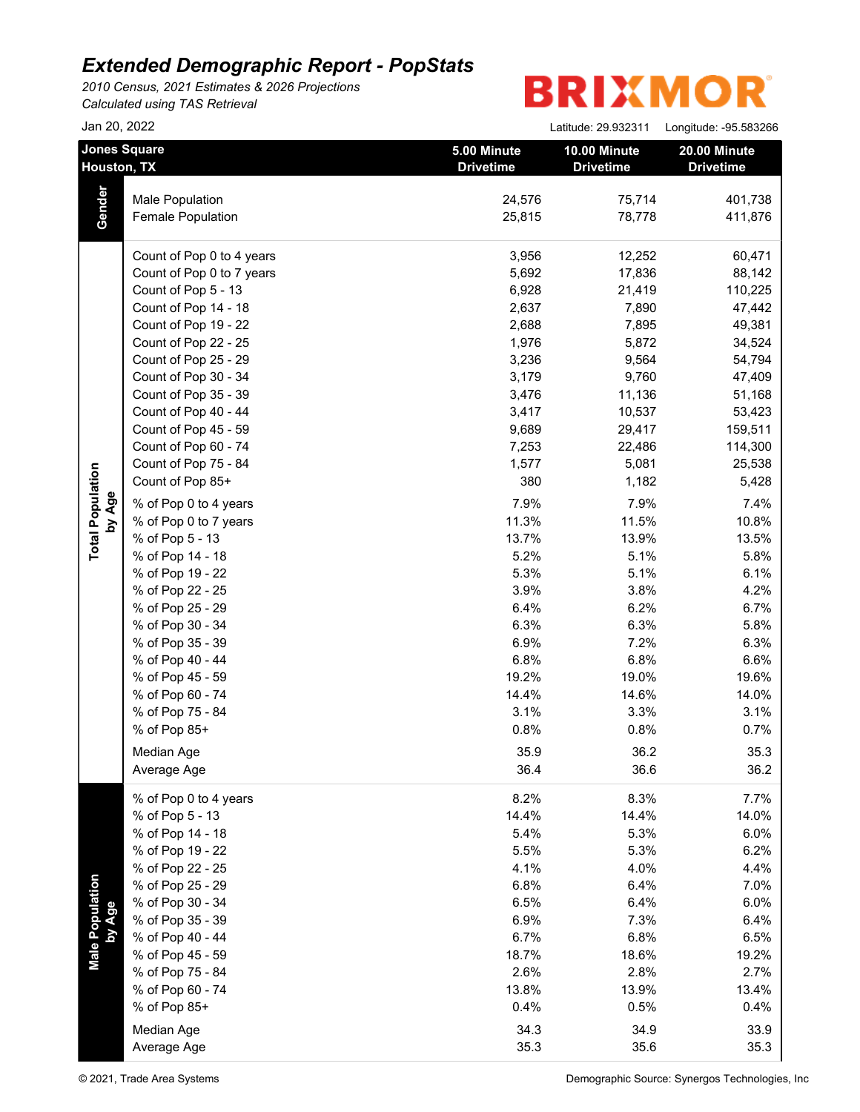*2010 Census, 2021 Estimates & 2026 Projections Calculated using TAS Retrieval*

|                           | Jan 20, 2022                       |                                 | Latitude: 29.932311              | Longitude: - 95.583266           |
|---------------------------|------------------------------------|---------------------------------|----------------------------------|----------------------------------|
|                           | <b>Jones Square</b><br>Houston, TX | 5.00 Minute<br><b>Drivetime</b> | 10.00 Minute<br><b>Drivetime</b> | 20.00 Minute<br><b>Drivetime</b> |
|                           | Male Population                    | 24,576                          | 75,714                           | 401,738                          |
| Gender                    | Female Population                  | 25,815                          | 78,778                           | 411,876                          |
|                           | Count of Pop 0 to 4 years          | 3,956                           | 12,252                           | 60,471                           |
|                           | Count of Pop 0 to 7 years          | 5,692                           | 17,836                           | 88,142                           |
|                           | Count of Pop 5 - 13                | 6,928                           | 21,419                           | 110,225                          |
|                           | Count of Pop 14 - 18               | 2,637                           | 7,890                            | 47,442                           |
|                           | Count of Pop 19 - 22               | 2,688                           | 7,895                            | 49,381                           |
|                           | Count of Pop 22 - 25               | 1,976                           | 5,872                            | 34,524                           |
|                           | Count of Pop 25 - 29               | 3,236                           | 9,564                            | 54,794                           |
|                           | Count of Pop 30 - 34               | 3,179                           | 9,760                            | 47,409                           |
|                           | Count of Pop 35 - 39               | 3,476                           | 11,136                           | 51,168                           |
|                           | Count of Pop 40 - 44               | 3,417                           | 10,537                           | 53,423                           |
|                           | Count of Pop 45 - 59               | 9,689                           | 29,417                           | 159,511                          |
|                           | Count of Pop 60 - 74               | 7,253                           | 22,486                           | 114,300                          |
|                           | Count of Pop 75 - 84               | 1,577                           | 5,081                            | 25,538                           |
|                           | Count of Pop 85+                   | 380                             | 1,182                            | 5,428                            |
| by Age                    | % of Pop 0 to 4 years              | 7.9%                            | 7.9%                             | 7.4%                             |
|                           | % of Pop 0 to 7 years              | 11.3%                           | 11.5%                            | 10.8%                            |
|                           | % of Pop 5 - 13                    | 13.7%                           | 13.9%                            | 13.5%                            |
|                           | % of Pop 14 - 18                   | 5.2%                            | 5.1%                             | 5.8%                             |
|                           | % of Pop 19 - 22                   | 5.3%                            | 5.1%                             | 6.1%                             |
|                           | % of Pop 22 - 25                   | 3.9%                            | 3.8%                             | 4.2%                             |
|                           | % of Pop 25 - 29                   | 6.4%                            | 6.2%                             | 6.7%                             |
|                           | % of Pop 30 - 34                   | 6.3%                            | 6.3%                             | 5.8%                             |
|                           | % of Pop 35 - 39                   | 6.9%                            | 7.2%                             | 6.3%                             |
|                           | % of Pop 40 - 44                   | 6.8%                            | 6.8%                             | 6.6%                             |
|                           | % of Pop 45 - 59                   | 19.2%                           | 19.0%                            | 19.6%                            |
|                           | % of Pop 60 - 74                   | 14.4%                           | 14.6%                            | 14.0%                            |
|                           | % of Pop 75 - 84                   | 3.1%                            | 3.3%                             | 3.1%                             |
|                           | % of Pop 85+                       | 0.8%                            | 0.8%                             | 0.7%                             |
|                           |                                    |                                 |                                  |                                  |
|                           | Median Age<br>Average Age          | 35.9<br>36.4                    | 36.2<br>36.6                     | 35.3<br>36.2                     |
|                           | % of Pop 0 to 4 years              | 8.2%                            | 8.3%                             | 7.7%                             |
|                           | % of Pop 5 - 13                    | 14.4%                           | 14.4%                            | 14.0%                            |
|                           | % of Pop 14 - 18                   | 5.4%                            | 5.3%                             | 6.0%                             |
|                           | % of Pop 19 - 22                   | 5.5%                            | 5.3%                             | 6.2%                             |
|                           | % of Pop 22 - 25                   | 4.1%                            | 4.0%                             | 4.4%                             |
|                           | % of Pop 25 - 29                   | 6.8%                            | 6.4%                             | 7.0%                             |
|                           | % of Pop 30 - 34                   | 6.5%                            | 6.4%                             | 6.0%                             |
|                           | % of Pop 35 - 39                   | 6.9%                            | 7.3%                             | 6.4%                             |
| Male Population<br>by Age | % of Pop 40 - 44                   | 6.7%                            | 6.8%                             | 6.5%                             |
|                           | % of Pop 45 - 59                   | 18.7%                           | 18.6%                            | 19.2%                            |
|                           | % of Pop 75 - 84                   | 2.6%                            | 2.8%                             | 2.7%                             |
|                           | % of Pop 60 - 74                   | 13.8%                           | 13.9%                            | 13.4%                            |
|                           | % of Pop 85+                       | 0.4%                            | 0.5%                             | 0.4%                             |
|                           |                                    |                                 |                                  |                                  |
|                           | Median Age                         | 34.3                            | 34.9                             | 33.9                             |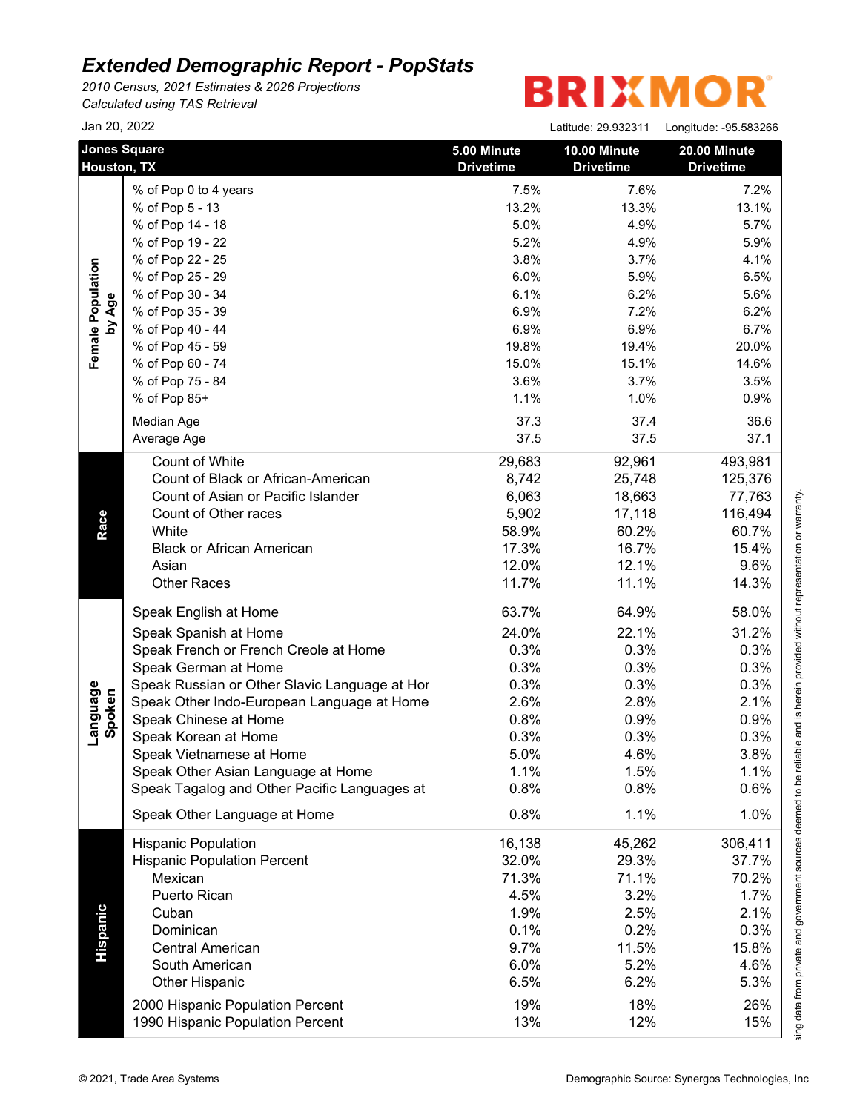*2010 Census, 2021 Estimates & 2026 Projections Calculated using TAS Retrieval*

## **BRIXMOR®**

| Jan 20, 2022 |  |
|--------------|--|
|--------------|--|

|                    | Jan 20, 2022                                  |                                 | Latitude: 29.932311              | Longitude: -95.583266            |
|--------------------|-----------------------------------------------|---------------------------------|----------------------------------|----------------------------------|
|                    | <b>Jones Square</b><br>Houston, TX            | 5.00 Minute<br><b>Drivetime</b> | 10.00 Minute<br><b>Drivetime</b> | 20.00 Minute<br><b>Drivetime</b> |
|                    | % of Pop 0 to 4 years                         | 7.5%                            | 7.6%                             | 7.2%                             |
|                    | % of Pop 5 - 13                               | 13.2%                           | 13.3%                            | 13.1%                            |
|                    | % of Pop 14 - 18                              | 5.0%                            | 4.9%                             | 5.7%                             |
|                    | % of Pop 19 - 22                              | 5.2%                            | 4.9%                             | 5.9%                             |
|                    | % of Pop 22 - 25                              | 3.8%                            | 3.7%                             | 4.1%                             |
|                    | % of Pop 25 - 29                              | 6.0%                            | 5.9%                             | 6.5%                             |
|                    | % of Pop 30 - 34                              | 6.1%                            | 6.2%                             | 5.6%                             |
| by Age             | % of Pop 35 - 39                              | 6.9%                            | 7.2%                             | 6.2%                             |
|                    | % of Pop 40 - 44                              | 6.9%                            | 6.9%                             | 6.7%                             |
|                    | % of Pop 45 - 59                              | 19.8%                           | 19.4%                            | 20.0%                            |
|                    | % of Pop 60 - 74                              | 15.0%                           | 15.1%                            | 14.6%                            |
|                    | % of Pop 75 - 84                              | 3.6%                            | 3.7%                             | 3.5%                             |
|                    | % of Pop 85+                                  | 1.1%                            | 1.0%                             | 0.9%                             |
|                    |                                               | 37.3                            | 37.4                             | 36.6                             |
|                    | Median Age                                    | 37.5                            | 37.5                             | 37.1                             |
|                    | Average Age                                   |                                 |                                  |                                  |
|                    | Count of White                                | 29,683                          | 92,961                           | 493,981                          |
|                    | Count of Black or African-American            | 8,742                           | 25,748                           | 125,376                          |
|                    | Count of Asian or Pacific Islander            | 6,063                           | 18,663                           | 77,763                           |
|                    | Count of Other races                          | 5,902                           | 17,118                           | 116,494                          |
|                    | White                                         | 58.9%                           | 60.2%                            | 60.7%                            |
| Race               | <b>Black or African American</b>              | 17.3%                           | 16.7%                            | 15.4%                            |
|                    | Asian                                         | 12.0%                           | 12.1%                            | 9.6%                             |
|                    | <b>Other Races</b>                            | 11.7%                           | 11.1%                            | 14.3%                            |
|                    | Speak English at Home                         | 63.7%                           | 64.9%                            | 58.0%                            |
|                    | Speak Spanish at Home                         | 24.0%                           | 22.1%                            | 31.2%                            |
|                    | Speak French or French Creole at Home         | 0.3%                            | 0.3%                             | 0.3%                             |
|                    | Speak German at Home                          | 0.3%                            | 0.3%                             | 0.3%                             |
|                    | Speak Russian or Other Slavic Language at Hor | 0.3%                            | 0.3%                             | 0.3%                             |
|                    | Speak Other Indo-European Language at Home    | 2.6%                            | 2.8%                             | 2.1%                             |
| Language<br>Spoken | Speak Chinese at Home                         | 0.8%                            | 0.9%                             | 0.9%                             |
|                    | Speak Korean at Home                          | 0.3%                            | 0.3%                             | 0.3%                             |
|                    | Speak Vietnamese at Home                      | 5.0%                            | 4.6%                             | 3.8%                             |
|                    | Speak Other Asian Language at Home            | 1.1%                            | 1.5%                             | 1.1%                             |
|                    | Speak Tagalog and Other Pacific Languages at  | 0.8%                            | 0.8%                             | 0.6%                             |
|                    | Speak Other Language at Home                  | 0.8%                            | 1.1%                             | 1.0%                             |
|                    | <b>Hispanic Population</b>                    | 16,138                          | 45,262                           | 306,411                          |
|                    | <b>Hispanic Population Percent</b>            | 32.0%                           | 29.3%                            | 37.7%                            |
|                    | Mexican                                       | 71.3%                           | 71.1%                            | 70.2%                            |
|                    | Puerto Rican                                  | 4.5%                            | 3.2%                             | 1.7%                             |
|                    | Cuban                                         | 1.9%                            | 2.5%                             | 2.1%                             |
|                    | Dominican                                     | 0.1%                            | 0.2%                             | 0.3%                             |
|                    | <b>Central American</b>                       | 9.7%                            | 11.5%                            | 15.8%                            |
|                    | South American                                | 6.0%                            | 5.2%                             | 4.6%                             |
|                    | <b>Other Hispanic</b>                         | 6.5%                            | 6.2%                             | 5.3%                             |
|                    |                                               |                                 |                                  |                                  |
|                    | 2000 Hispanic Population Percent              | 19%<br>13%                      | 18%<br>12%                       | 26%<br>15%                       |
|                    | 1990 Hispanic Population Percent              |                                 |                                  |                                  |

This report was produced using data from private and government sources deemed to be reliable and is herein provided without representation or warranty.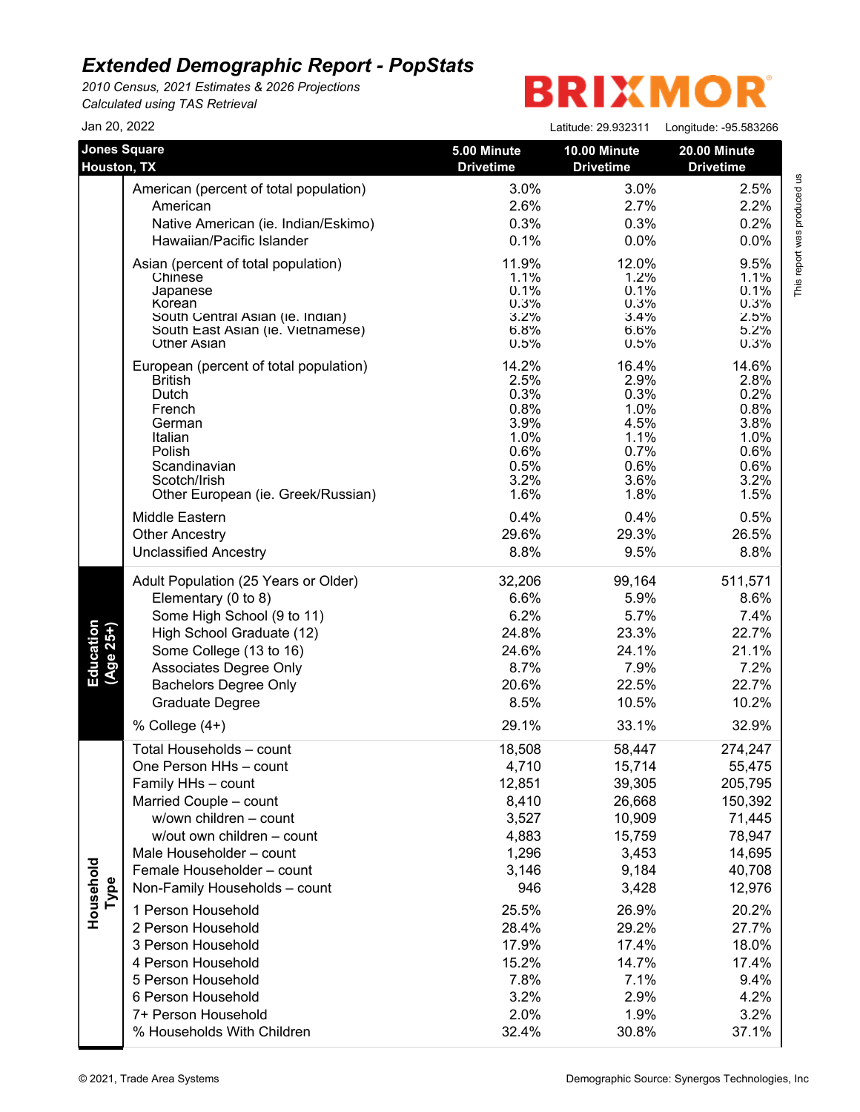*2010 Census, 2021 Estimates & 2026 Projections Calculated using TAS Retrieval*

| Jan 20, 2022                       |                                            |                                 | Latitude: 29.932311              | Longitude: - 95.583266           |
|------------------------------------|--------------------------------------------|---------------------------------|----------------------------------|----------------------------------|
| <b>Jones Square</b><br>Houston, TX |                                            | 5.00 Minute<br><b>Drivetime</b> | 10.00 Minute<br><b>Drivetime</b> | 20.00 Minute<br><b>Drivetime</b> |
|                                    | American (percent of total population)     | 3.0%                            | 3.0%                             | 2.5%                             |
|                                    | American                                   | 2.6%                            | 2.7%                             | 2.2%                             |
|                                    | Native American (ie. Indian/Eskimo)        | 0.3%                            | 0.3%                             | 0.2%                             |
|                                    | Hawaiian/Pacific Islander                  | 0.1%                            | 0.0%                             | 0.0%                             |
|                                    | Asian (percent of total population)        | 11.9%                           | 12.0%                            | 9.5%                             |
|                                    | Chinese                                    | 1.1%                            | 1.2%                             | 1.1%                             |
|                                    | Japanese                                   | 0.1%                            | 0.1%                             | 0.1%                             |
|                                    | Korean<br>South Central Asian (ie. Indian) | 0.3%<br>3.2%                    | 0.3%<br>3.4%                     | 0.3%<br>2.5%                     |
|                                    | South East Asian (ie. Vietnamese)          | 6.8%                            | 6.6%                             | 5.2%                             |
|                                    | <b>Other Asian</b>                         | 0.5%                            | 0.5%                             | 0.3%                             |
|                                    | European (percent of total population)     | 14.2%                           | 16.4%                            | 14.6%                            |
|                                    | <b>British</b>                             | 2.5%                            | 2.9%                             | 2.8%                             |
|                                    | Dutch                                      | 0.3%                            | 0.3%                             | 0.2%                             |
|                                    | French                                     | 0.8%                            | 1.0%                             | 0.8%                             |
|                                    | German<br>Italian                          | 3.9%<br>1.0%                    | 4.5%<br>1.1%                     | 3.8%<br>1.0%                     |
|                                    | Polish                                     | 0.6%                            | 0.7%                             | 0.6%                             |
|                                    | Scandinavian                               | 0.5%                            | 0.6%                             | 0.6%                             |
|                                    | Scotch/Irish                               | 3.2%                            | 3.6%                             | 3.2%                             |
|                                    | Other European (ie. Greek/Russian)         | 1.6%                            | 1.8%                             | 1.5%                             |
|                                    | Middle Eastern                             | 0.4%                            | 0.4%                             | 0.5%                             |
|                                    | <b>Other Ancestry</b>                      | 29.6%                           | 29.3%                            | 26.5%                            |
|                                    | <b>Unclassified Ancestry</b>               | 8.8%                            | 9.5%                             | 8.8%                             |
|                                    | Adult Population (25 Years or Older)       | 32,206                          | 99,164                           | 511,571                          |
|                                    | Elementary (0 to 8)                        | 6.6%                            | 5.9%                             | 8.6%                             |
|                                    | Some High School (9 to 11)                 | 6.2%                            | 5.7%                             | 7.4%                             |
| Education<br>(Age 25+)             | High School Graduate (12)                  | 24.8%                           | 23.3%                            | 22.7%                            |
|                                    | Some College (13 to 16)                    | 24.6%                           | 24.1%                            | 21.1%                            |
|                                    | Associates Degree Only                     | 8.7%                            | 7.9%                             | 7.2%                             |
|                                    | <b>Bachelors Degree Only</b>               | 20.6%                           | 22.5%                            | 22.7%                            |
|                                    | <b>Graduate Degree</b>                     | 8.5%                            | 10.5%                            | 10.2%                            |
|                                    | % College (4+)                             | 29.1%                           | 33.1%                            | 32.9%                            |
|                                    | Total Households - count                   | 18,508                          | 58,447                           | 274,247                          |
|                                    | One Person HHs - count                     | 4,710                           | 15,714                           | 55,475                           |
|                                    | Family HHs - count                         | 12,851                          | 39,305                           | 205,795                          |
|                                    | Married Couple - count                     | 8,410                           | 26,668                           | 150,392                          |
|                                    | w/own children - count                     | 3,527                           | 10,909                           | 71,445                           |
|                                    | w/out own children - count                 | 4,883                           | 15,759                           | 78,947                           |
|                                    | Male Householder - count                   | 1,296                           | 3,453                            | 14,695                           |
|                                    | Female Householder - count                 | 3,146                           | 9,184                            | 40,708                           |
| Household<br>Type                  | Non-Family Households - count              | 946                             | 3,428                            | 12,976                           |
|                                    | 1 Person Household                         | 25.5%                           | 26.9%                            | 20.2%                            |
|                                    | 2 Person Household                         | 28.4%                           | 29.2%                            | 27.7%                            |
|                                    | 3 Person Household                         | 17.9%                           | 17.4%                            | 18.0%                            |
|                                    | 4 Person Household                         | 15.2%                           | 14.7%                            | 17.4%                            |
|                                    | 5 Person Household                         | 7.8%                            | 7.1%                             | 9.4%                             |
|                                    | 6 Person Household                         | 3.2%                            | 2.9%                             | 4.2%                             |
|                                    | 7+ Person Household                        | 2.0%                            | 1.9%                             | 3.2%                             |
|                                    | % Households With Children                 | 32.4%                           | 30.8%                            | 37.1%                            |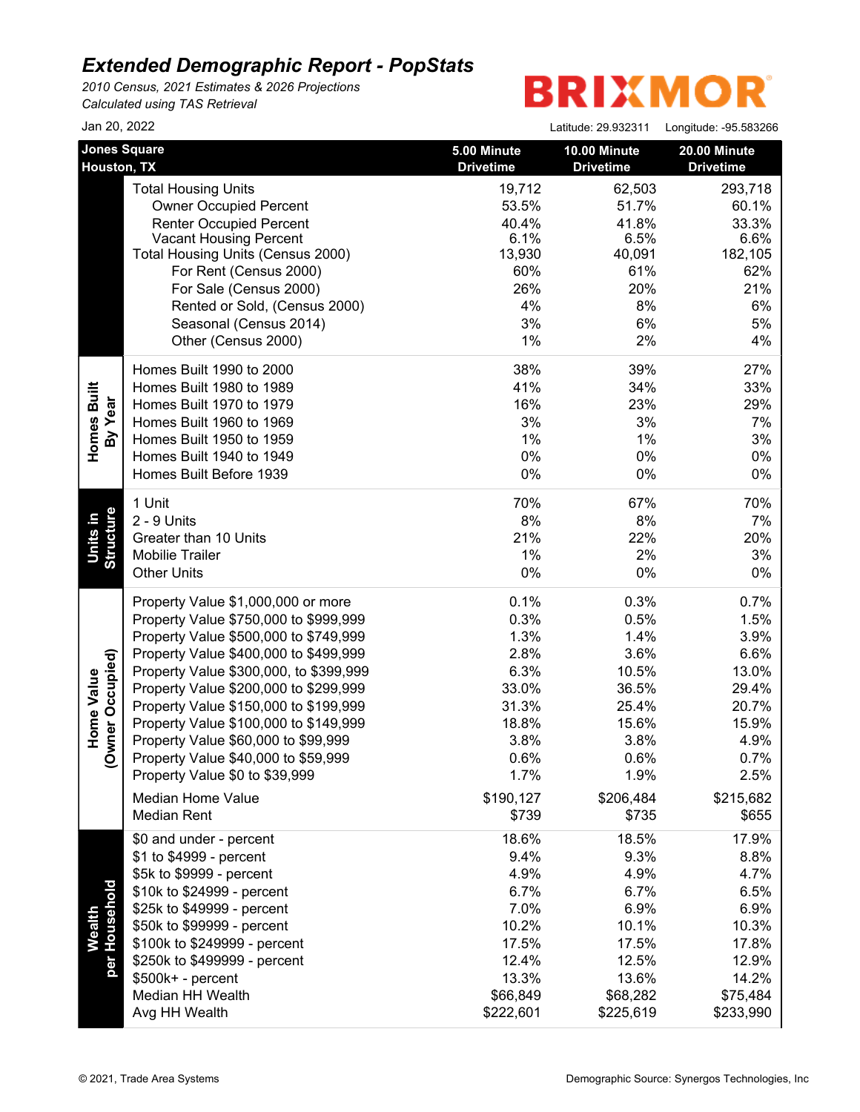*2010 Census, 2021 Estimates & 2026 Projections Calculated using TAS Retrieval*

| Jan 20, 2022                       |                                                                             |                                 | Latitude: 29.932311              | Longitude: -95.583266            |
|------------------------------------|-----------------------------------------------------------------------------|---------------------------------|----------------------------------|----------------------------------|
| <b>Jones Square</b><br>Houston, TX |                                                                             | 5.00 Minute<br><b>Drivetime</b> | 10.00 Minute<br><b>Drivetime</b> | 20.00 Minute<br><b>Drivetime</b> |
|                                    | <b>Total Housing Units</b><br><b>Owner Occupied Percent</b>                 | 19,712<br>53.5%                 | 62,503<br>51.7%                  | 293,718<br>60.1%                 |
|                                    | <b>Renter Occupied Percent</b>                                              | 40.4%                           | 41.8%                            | 33.3%                            |
|                                    | <b>Vacant Housing Percent</b>                                               | 6.1%                            | 6.5%                             | 6.6%                             |
|                                    | Total Housing Units (Census 2000)                                           | 13,930                          | 40,091                           | 182,105                          |
|                                    | For Rent (Census 2000)                                                      | 60%                             | 61%                              | 62%                              |
|                                    | For Sale (Census 2000)                                                      | 26%                             | 20%                              | 21%                              |
|                                    | Rented or Sold, (Census 2000)                                               | 4%                              | 8%                               | 6%                               |
|                                    | Seasonal (Census 2014)                                                      | 3%                              | 6%                               | 5%                               |
|                                    | Other (Census 2000)                                                         | 1%                              | 2%                               | 4%                               |
|                                    | Homes Built 1990 to 2000                                                    | 38%                             | 39%                              | 27%                              |
|                                    | Homes Built 1980 to 1989<br>Homes Built 1970 to 1979                        | 41%                             | 34%                              | 33%                              |
|                                    | Homes Built 1960 to 1969                                                    | 16%<br>3%                       | 23%<br>3%                        | 29%                              |
| Homes Built<br>By Year             | Homes Built 1950 to 1959                                                    | 1%                              | $1\%$                            | 7%<br>3%                         |
|                                    | Homes Built 1940 to 1949                                                    | 0%                              | 0%                               | 0%                               |
|                                    | Homes Built Before 1939                                                     | 0%                              | 0%                               | 0%                               |
|                                    |                                                                             |                                 |                                  |                                  |
|                                    | 1 Unit<br>2 - 9 Units                                                       | 70%                             | 67%                              | 70%                              |
|                                    |                                                                             | 8%<br>21%                       | 8%                               | 7%                               |
| Structure<br>Units in              | Greater than 10 Units<br><b>Mobilie Trailer</b>                             | 1%                              | 22%<br>2%                        | 20%<br>3%                        |
|                                    | <b>Other Units</b>                                                          | 0%                              | 0%                               | $0\%$                            |
|                                    |                                                                             | 0.1%                            | 0.3%                             |                                  |
|                                    | Property Value \$1,000,000 or more<br>Property Value \$750,000 to \$999,999 | 0.3%                            | 0.5%                             | 0.7%<br>1.5%                     |
|                                    | Property Value \$500,000 to \$749,999                                       | 1.3%                            | 1.4%                             | 3.9%                             |
|                                    | Property Value \$400,000 to \$499,999                                       | 2.8%                            | 3.6%                             | 6.6%                             |
|                                    | Property Value \$300,000, to \$399,999                                      | 6.3%                            | 10.5%                            | 13.0%                            |
| vner Occupied)<br>Home Value       | Property Value \$200,000 to \$299,999                                       | 33.0%                           | 36.5%                            | 29.4%                            |
|                                    | Property Value \$150,000 to \$199,999                                       | 31.3%                           | 25.4%                            | 20.7%                            |
|                                    | Property Value \$100,000 to \$149,999                                       | 18.8%                           | 15.6%                            | 15.9%                            |
|                                    | Property Value \$60,000 to \$99,999                                         | 3.8%                            | 3.8%                             | 4.9%                             |
| ş                                  | Property Value \$40,000 to \$59,999                                         | 0.6%                            | 0.6%                             | 0.7%                             |
|                                    | Property Value \$0 to \$39,999                                              | 1.7%                            | 1.9%                             | 2.5%                             |
|                                    | <b>Median Home Value</b>                                                    | \$190,127                       | \$206,484                        |                                  |
|                                    | <b>Median Rent</b>                                                          | \$739                           | \$735                            | \$215,682<br>\$655               |
|                                    | \$0 and under - percent                                                     | 18.6%                           | 18.5%                            | 17.9%                            |
|                                    | \$1 to \$4999 - percent                                                     | 9.4%                            | 9.3%                             | 8.8%                             |
|                                    | \$5k to \$9999 - percent                                                    | 4.9%                            | 4.9%                             | 4.7%                             |
|                                    | \$10k to \$24999 - percent                                                  | 6.7%                            | 6.7%                             | 6.5%                             |
| per Household                      | \$25k to \$49999 - percent                                                  | 7.0%                            | 6.9%                             | 6.9%                             |
| Wealth                             | \$50k to \$99999 - percent                                                  | 10.2%                           | 10.1%                            | 10.3%                            |
|                                    | \$100k to \$249999 - percent                                                | 17.5%                           | 17.5%                            | 17.8%                            |
|                                    | \$250k to \$499999 - percent                                                | 12.4%                           | 12.5%                            | 12.9%                            |
|                                    | $$500k+ - percent$                                                          | 13.3%                           | 13.6%                            | 14.2%                            |
|                                    | Median HH Wealth                                                            | \$66,849                        | \$68,282                         | \$75,484                         |
|                                    | Avg HH Wealth                                                               | \$222,601                       | \$225,619                        | \$233,990                        |
|                                    |                                                                             |                                 |                                  |                                  |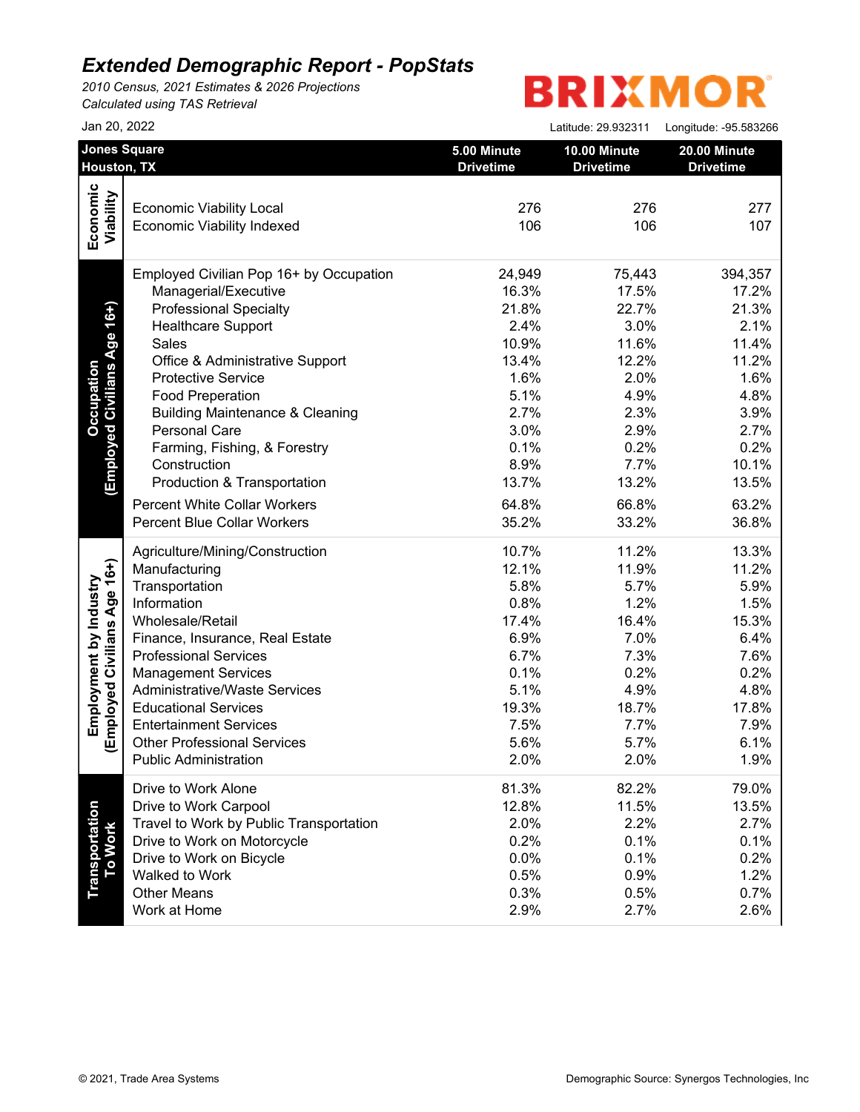*2010 Census, 2021 Estimates & 2026 Projections Calculated using TAS Retrieval*

| Jan 20, 2022                            |                                                                                                                                                                                                                                                                                                                                                                                                                                                                                                                                                                                                                                                                                                                                                                            | Latitude: 29.932311                                                                                                                                                                          | Longitude: - 95.583266                                                                                                                                                                                        |
|-----------------------------------------|----------------------------------------------------------------------------------------------------------------------------------------------------------------------------------------------------------------------------------------------------------------------------------------------------------------------------------------------------------------------------------------------------------------------------------------------------------------------------------------------------------------------------------------------------------------------------------------------------------------------------------------------------------------------------------------------------------------------------------------------------------------------------|----------------------------------------------------------------------------------------------------------------------------------------------------------------------------------------------|---------------------------------------------------------------------------------------------------------------------------------------------------------------------------------------------------------------|
| <b>Jones Square</b>                     | 5.00 Minute                                                                                                                                                                                                                                                                                                                                                                                                                                                                                                                                                                                                                                                                                                                                                                | 10.00 Minute                                                                                                                                                                                 | 20.00 Minute<br><b>Drivetime</b>                                                                                                                                                                              |
|                                         |                                                                                                                                                                                                                                                                                                                                                                                                                                                                                                                                                                                                                                                                                                                                                                            |                                                                                                                                                                                              |                                                                                                                                                                                                               |
|                                         |                                                                                                                                                                                                                                                                                                                                                                                                                                                                                                                                                                                                                                                                                                                                                                            |                                                                                                                                                                                              | 277                                                                                                                                                                                                           |
|                                         |                                                                                                                                                                                                                                                                                                                                                                                                                                                                                                                                                                                                                                                                                                                                                                            |                                                                                                                                                                                              | 107                                                                                                                                                                                                           |
|                                         |                                                                                                                                                                                                                                                                                                                                                                                                                                                                                                                                                                                                                                                                                                                                                                            |                                                                                                                                                                                              |                                                                                                                                                                                                               |
| Employed Civilian Pop 16+ by Occupation | 24,949                                                                                                                                                                                                                                                                                                                                                                                                                                                                                                                                                                                                                                                                                                                                                                     | 75,443                                                                                                                                                                                       | 394,357                                                                                                                                                                                                       |
| Managerial/Executive                    | 16.3%                                                                                                                                                                                                                                                                                                                                                                                                                                                                                                                                                                                                                                                                                                                                                                      | 17.5%                                                                                                                                                                                        | 17.2%                                                                                                                                                                                                         |
| <b>Professional Specialty</b>           | 21.8%                                                                                                                                                                                                                                                                                                                                                                                                                                                                                                                                                                                                                                                                                                                                                                      |                                                                                                                                                                                              | 21.3%                                                                                                                                                                                                         |
| <b>Healthcare Support</b>               | 2.4%                                                                                                                                                                                                                                                                                                                                                                                                                                                                                                                                                                                                                                                                                                                                                                       | 3.0%                                                                                                                                                                                         | 2.1%                                                                                                                                                                                                          |
| Sales                                   | 10.9%                                                                                                                                                                                                                                                                                                                                                                                                                                                                                                                                                                                                                                                                                                                                                                      | 11.6%                                                                                                                                                                                        | 11.4%                                                                                                                                                                                                         |
| Office & Administrative Support         | 13.4%                                                                                                                                                                                                                                                                                                                                                                                                                                                                                                                                                                                                                                                                                                                                                                      | 12.2%                                                                                                                                                                                        | 11.2%                                                                                                                                                                                                         |
| <b>Protective Service</b>               | 1.6%                                                                                                                                                                                                                                                                                                                                                                                                                                                                                                                                                                                                                                                                                                                                                                       | 2.0%                                                                                                                                                                                         | 1.6%                                                                                                                                                                                                          |
| <b>Food Preperation</b>                 | 5.1%                                                                                                                                                                                                                                                                                                                                                                                                                                                                                                                                                                                                                                                                                                                                                                       | 4.9%                                                                                                                                                                                         | 4.8%                                                                                                                                                                                                          |
|                                         | 2.7%                                                                                                                                                                                                                                                                                                                                                                                                                                                                                                                                                                                                                                                                                                                                                                       | 2.3%                                                                                                                                                                                         | 3.9%                                                                                                                                                                                                          |
|                                         | 3.0%                                                                                                                                                                                                                                                                                                                                                                                                                                                                                                                                                                                                                                                                                                                                                                       |                                                                                                                                                                                              | 2.7%                                                                                                                                                                                                          |
|                                         |                                                                                                                                                                                                                                                                                                                                                                                                                                                                                                                                                                                                                                                                                                                                                                            |                                                                                                                                                                                              | 0.2%                                                                                                                                                                                                          |
|                                         |                                                                                                                                                                                                                                                                                                                                                                                                                                                                                                                                                                                                                                                                                                                                                                            |                                                                                                                                                                                              | 10.1%                                                                                                                                                                                                         |
|                                         |                                                                                                                                                                                                                                                                                                                                                                                                                                                                                                                                                                                                                                                                                                                                                                            |                                                                                                                                                                                              | 13.5%                                                                                                                                                                                                         |
|                                         |                                                                                                                                                                                                                                                                                                                                                                                                                                                                                                                                                                                                                                                                                                                                                                            |                                                                                                                                                                                              |                                                                                                                                                                                                               |
|                                         |                                                                                                                                                                                                                                                                                                                                                                                                                                                                                                                                                                                                                                                                                                                                                                            |                                                                                                                                                                                              | 63.2%                                                                                                                                                                                                         |
|                                         |                                                                                                                                                                                                                                                                                                                                                                                                                                                                                                                                                                                                                                                                                                                                                                            |                                                                                                                                                                                              | 36.8%                                                                                                                                                                                                         |
|                                         | 10.7%                                                                                                                                                                                                                                                                                                                                                                                                                                                                                                                                                                                                                                                                                                                                                                      | 11.2%                                                                                                                                                                                        | 13.3%                                                                                                                                                                                                         |
|                                         |                                                                                                                                                                                                                                                                                                                                                                                                                                                                                                                                                                                                                                                                                                                                                                            |                                                                                                                                                                                              | 11.2%                                                                                                                                                                                                         |
|                                         |                                                                                                                                                                                                                                                                                                                                                                                                                                                                                                                                                                                                                                                                                                                                                                            |                                                                                                                                                                                              | 5.9%                                                                                                                                                                                                          |
|                                         |                                                                                                                                                                                                                                                                                                                                                                                                                                                                                                                                                                                                                                                                                                                                                                            |                                                                                                                                                                                              | 1.5%                                                                                                                                                                                                          |
|                                         |                                                                                                                                                                                                                                                                                                                                                                                                                                                                                                                                                                                                                                                                                                                                                                            |                                                                                                                                                                                              | 15.3%                                                                                                                                                                                                         |
|                                         |                                                                                                                                                                                                                                                                                                                                                                                                                                                                                                                                                                                                                                                                                                                                                                            |                                                                                                                                                                                              | 6.4%                                                                                                                                                                                                          |
|                                         |                                                                                                                                                                                                                                                                                                                                                                                                                                                                                                                                                                                                                                                                                                                                                                            |                                                                                                                                                                                              | 7.6%                                                                                                                                                                                                          |
|                                         |                                                                                                                                                                                                                                                                                                                                                                                                                                                                                                                                                                                                                                                                                                                                                                            |                                                                                                                                                                                              | 0.2%                                                                                                                                                                                                          |
|                                         |                                                                                                                                                                                                                                                                                                                                                                                                                                                                                                                                                                                                                                                                                                                                                                            |                                                                                                                                                                                              | 4.8%                                                                                                                                                                                                          |
|                                         |                                                                                                                                                                                                                                                                                                                                                                                                                                                                                                                                                                                                                                                                                                                                                                            |                                                                                                                                                                                              | 17.8%                                                                                                                                                                                                         |
|                                         |                                                                                                                                                                                                                                                                                                                                                                                                                                                                                                                                                                                                                                                                                                                                                                            |                                                                                                                                                                                              | 7.9%                                                                                                                                                                                                          |
|                                         |                                                                                                                                                                                                                                                                                                                                                                                                                                                                                                                                                                                                                                                                                                                                                                            |                                                                                                                                                                                              | 6.1%                                                                                                                                                                                                          |
|                                         |                                                                                                                                                                                                                                                                                                                                                                                                                                                                                                                                                                                                                                                                                                                                                                            |                                                                                                                                                                                              | 1.9%                                                                                                                                                                                                          |
|                                         |                                                                                                                                                                                                                                                                                                                                                                                                                                                                                                                                                                                                                                                                                                                                                                            |                                                                                                                                                                                              |                                                                                                                                                                                                               |
| Drive to Work Alone                     | 81.3%                                                                                                                                                                                                                                                                                                                                                                                                                                                                                                                                                                                                                                                                                                                                                                      | 82.2%                                                                                                                                                                                        | 79.0%                                                                                                                                                                                                         |
| Drive to Work Carpool                   | 12.8%                                                                                                                                                                                                                                                                                                                                                                                                                                                                                                                                                                                                                                                                                                                                                                      | 11.5%                                                                                                                                                                                        | 13.5%                                                                                                                                                                                                         |
| Travel to Work by Public Transportation | 2.0%                                                                                                                                                                                                                                                                                                                                                                                                                                                                                                                                                                                                                                                                                                                                                                       | 2.2%                                                                                                                                                                                         | 2.7%                                                                                                                                                                                                          |
| Drive to Work on Motorcycle             | 0.2%                                                                                                                                                                                                                                                                                                                                                                                                                                                                                                                                                                                                                                                                                                                                                                       | 0.1%                                                                                                                                                                                         | 0.1%                                                                                                                                                                                                          |
|                                         | 0.0%                                                                                                                                                                                                                                                                                                                                                                                                                                                                                                                                                                                                                                                                                                                                                                       | 0.1%                                                                                                                                                                                         | 0.2%                                                                                                                                                                                                          |
|                                         |                                                                                                                                                                                                                                                                                                                                                                                                                                                                                                                                                                                                                                                                                                                                                                            |                                                                                                                                                                                              | 1.2%                                                                                                                                                                                                          |
|                                         |                                                                                                                                                                                                                                                                                                                                                                                                                                                                                                                                                                                                                                                                                                                                                                            |                                                                                                                                                                                              | 0.7%                                                                                                                                                                                                          |
| Work at Home                            | 2.9%                                                                                                                                                                                                                                                                                                                                                                                                                                                                                                                                                                                                                                                                                                                                                                       | 2.7%                                                                                                                                                                                         | 2.6%                                                                                                                                                                                                          |
|                                         | Houston, TX<br><b>Economic Viability Local</b><br><b>Economic Viability Indexed</b><br><b>Building Maintenance &amp; Cleaning</b><br>Personal Care<br>Farming, Fishing, & Forestry<br>Construction<br>Production & Transportation<br><b>Percent White Collar Workers</b><br><b>Percent Blue Collar Workers</b><br>Agriculture/Mining/Construction<br>Manufacturing<br>Transportation<br>Information<br>Wholesale/Retail<br>Finance, Insurance, Real Estate<br><b>Professional Services</b><br><b>Management Services</b><br><b>Administrative/Waste Services</b><br><b>Educational Services</b><br><b>Entertainment Services</b><br><b>Other Professional Services</b><br><b>Public Administration</b><br>Drive to Work on Bicycle<br>Walked to Work<br><b>Other Means</b> | <b>Drivetime</b><br>276<br>106<br>0.1%<br>8.9%<br>13.7%<br>64.8%<br>35.2%<br>12.1%<br>5.8%<br>0.8%<br>17.4%<br>6.9%<br>6.7%<br>0.1%<br>5.1%<br>19.3%<br>7.5%<br>5.6%<br>2.0%<br>0.5%<br>0.3% | <b>Drivetime</b><br>276<br>106<br>22.7%<br>2.9%<br>0.2%<br>7.7%<br>13.2%<br>66.8%<br>33.2%<br>11.9%<br>5.7%<br>1.2%<br>16.4%<br>7.0%<br>7.3%<br>0.2%<br>4.9%<br>18.7%<br>7.7%<br>5.7%<br>2.0%<br>0.9%<br>0.5% |